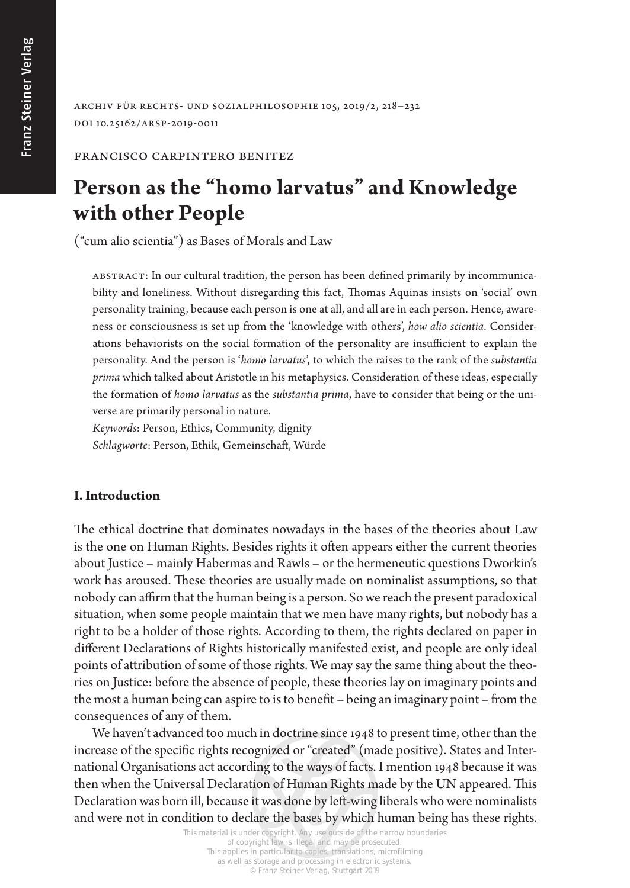Archiv für Rechts- und Sozialphilosophie 105, 2019/2, 218–232 DOI 10.25162/arsp-2019-0011

## Francisco Carpintero Benitez

# **Person as the "homo larvatus" and Knowledge with other People**

("cum alio scientia") as Bases of Morals and Law

Abstract: In our cultural tradition, the person has been defined primarily by incommunicability and loneliness. Without disregarding this fact, Thomas Aquinas insists on 'social' own personality training, because each person is one at all, and all are in each person. Hence, awareness or consciousness is set up from the 'knowledge with others', *how alio scientia*. Considerations behaviorists on the social formation of the personality are insufficient to explain the personality. And the person is '*homo larvatus*', to which the raises to the rank of the *substantia prima* which talked about Aristotle in his metaphysics. Consideration of these ideas, especially the formation of *homo larvatus* as the *substantia prima*, have to consider that being or the universe are primarily personal in nature.

*Keywords*: Person, Ethics, Community, dignity *Schlagworte*: Person, Ethik, Gemeinschaft, Würde

## **I. Introduction**

The ethical doctrine that dominates nowadays in the bases of the theories about Law is the one on Human Rights. Besides rights it often appears either the current theories about Justice – mainly Habermas and Rawls – or the hermeneutic questions Dworkin's work has aroused. These theories are usually made on nominalist assumptions, so that nobody can affirm that the human being is a person. So we reach the present paradoxical situation, when some people maintain that we men have many rights, but nobody has a right to be a holder of those rights. According to them, the rights declared on paper in different Declarations of Rights historically manifested exist, and people are only ideal points of attribution of some of those rights. We may say the same thing about the theories on Justice: before the absence of people, these theories lay on imaginary points and the most a human being can aspire to is to benefit – being an imaginary point – from the consequences of any of them.

We haven't advanced too much in doctrine since 1948 to present time, other than the increase of the specific rights recognized or "created" (made positive). States and International Organisations act according to the ways of facts. I mention 1948 because it was then when the Universal Declaration of Human Rights made by the UN appeared. This Declaration was born ill, because it was done by left-wing liberals who were nominalists and were not in condition to declare the bases by which human being has these rights.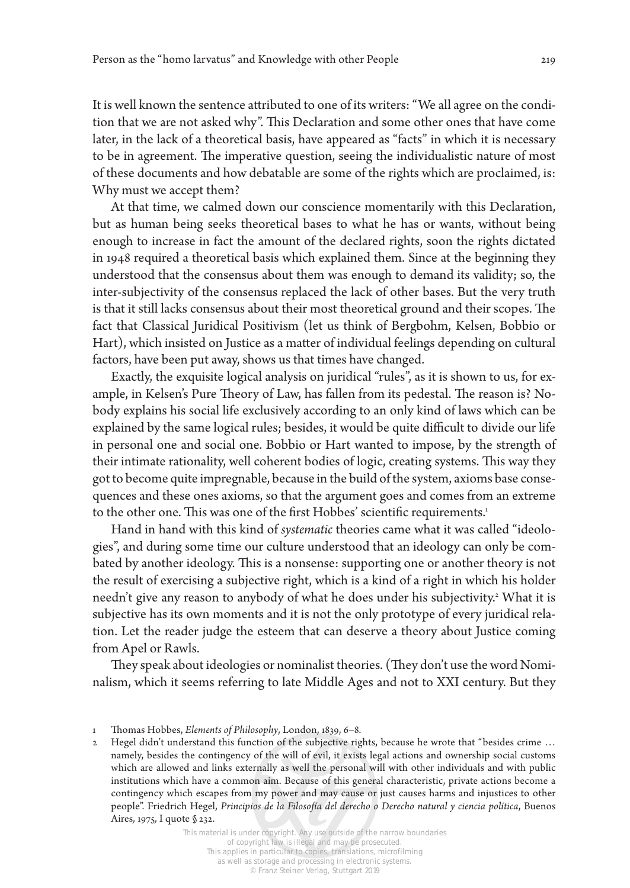It is well known the sentence attributed to one of its writers: "We all agree on the condition that we are not asked why". This Declaration and some other ones that have come later, in the lack of a theoretical basis, have appeared as "facts" in which it is necessary to be in agreement. The imperative question, seeing the individualistic nature of most of these documents and how debatable are some of the rights which are proclaimed, is: Why must we accept them?

At that time, we calmed down our conscience momentarily with this Declaration, but as human being seeks theoretical bases to what he has or wants, without being enough to increase in fact the amount of the declared rights, soon the rights dictated in 1948 required a theoretical basis which explained them. Since at the beginning they understood that the consensus about them was enough to demand its validity; so, the inter-subjectivity of the consensus replaced the lack of other bases. But the very truth is that it still lacks consensus about their most theoretical ground and their scopes. The fact that Classical Juridical Positivism (let us think of Bergbohm, Kelsen, Bobbio or Hart), which insisted on Justice as a matter of individual feelings depending on cultural factors, have been put away, shows us that times have changed.

Exactly, the exquisite logical analysis on juridical "rules", as it is shown to us, for example, in Kelsen's Pure Theory of Law, has fallen from its pedestal. The reason is? Nobody explains his social life exclusively according to an only kind of laws which can be explained by the same logical rules; besides, it would be quite difficult to divide our life in personal one and social one. Bobbio or Hart wanted to impose, by the strength of their intimate rationality, well coherent bodies of logic, creating systems. This way they got to become quite impregnable, because in the build of the system, axioms base consequences and these ones axioms, so that the argument goes and comes from an extreme to the other one. This was one of the first Hobbes' scientific requirements.<sup>1</sup>

Hand in hand with this kind of *systematic* theories came what it was called "ideologies", and during some time our culture understood that an ideology can only be combated by another ideology. This is a nonsense: supporting one or another theory is not the result of exercising a subjective right, which is a kind of a right in which his holder needn't give any reason to anybody of what he does under his subjectivity.<sup>2</sup> What it is subjective has its own moments and it is not the only prototype of every juridical relation. Let the reader judge the esteem that can deserve a theory about Justice coming from Apel or Rawls.

They speak about ideologies or nominalist theories. (They don't use the word Nominalism, which it seems referring to late Middle Ages and not to XXI century. But they

<sup>1</sup> Thomas Hobbes, *Elements of Philosophy*, London, 1839, 6–8.

<sup>2</sup> Hegel didn't understand this function of the subjective rights, because he wrote that "besides crime … namely, besides the contingency of the will of evil, it exists legal actions and ownership social customs which are allowed and links externally as well the personal will with other individuals and with public institutions which have a common aim. Because of this general characteristic, private actions become a contingency which escapes from my power and may cause or just causes harms and injustices to other people". Friedrich Hegel, *Principios de la Filosofía del derecho o Derecho natural y ciencia política*, Buenos Aires*,* 1975*,* I quote § 232.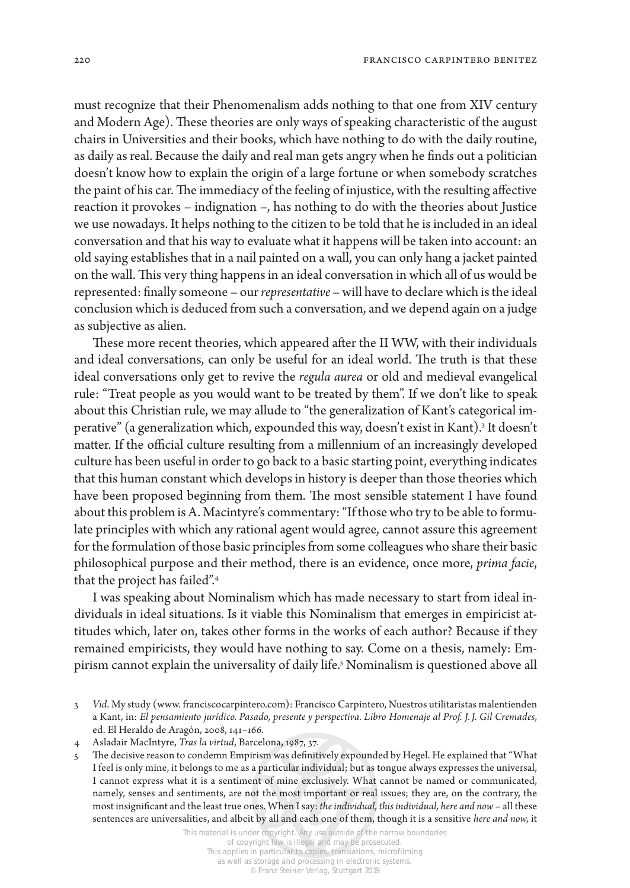must recognize that their Phenomenalism adds nothing to that one from XIV century and Modern Age). These theories are only ways of speaking characteristic of the august chairs in Universities and their books, which have nothing to do with the daily routine, as daily as real. Because the daily and real man gets angry when he finds out a politician doesn't know how to explain the origin of a large fortune or when somebody scratches the paint of his car. The immediacy of the feeling of injustice, with the resulting affective reaction it provokes – indignation –, has nothing to do with the theories about Justice we use nowadays. It helps nothing to the citizen to be told that he is included in an ideal conversation and that his way to evaluate what it happens will be taken into account: an old saying establishes that in a nail painted on a wall, you can only hang a jacket painted on the wall. This very thing happens in an ideal conversation in which all of us would be represented: finally someone – our *representative* – will have to declare which is the ideal conclusion which is deduced from such a conversation, and we depend again on a judge as subjective as alien.

These more recent theories, which appeared after the II WW, with their individuals and ideal conversations, can only be useful for an ideal world. The truth is that these ideal conversations only get to revive the *regula aurea* or old and medieval evangelical rule: "Treat people as you would want to be treated by them". If we don't like to speak about this Christian rule, we may allude to "the generalization of Kant's categorical imperative" (a generalization which, expounded this way, doesn't exist in Kant).<sup>3</sup> It doesn't matter. If the official culture resulting from a millennium of an increasingly developed culture has been useful in order to go back to a basic starting point, everything indicates that this human constant which develops in history is deeper than those theories which have been proposed beginning from them. The most sensible statement I have found about this problem is A. Macintyre's commentary: "If those who try to be able to formulate principles with which any rational agent would agree, cannot assure this agreement for the formulation of those basic principles from some colleagues who share their basic philosophical purpose and their method, there is an evidence, once more, *prima facie*, that the project has failed".4

I was speaking about Nominalism which has made necessary to start from ideal individuals in ideal situations. Is it viable this Nominalism that emerges in empiricist attitudes which, later on, takes other forms in the works of each author? Because if they remained empiricists, they would have nothing to say. Come on a thesis, namely: Empirism cannot explain the universality of daily life.5 Nominalism is questioned above all

<sup>3</sup> *Vid*. My study (www. franciscocarpintero.com): Francisco Carpintero, Nuestros utilitaristas malentienden a Kant, in: *El pensamiento jurídico. Pasado, presente y perspectiva. Libro Homenaje al Prof. J.J. Gil Cremades*, ed. El Heraldo de Aragón, 2008, 141–166.

<sup>4</sup> Asladair MacIntyre, *Tras la virtud*, Barcelona, 1987, 37.

<sup>5</sup> The decisive reason to condemn Empirism was definitively expounded by Hegel. He explained that "What I feel is only mine, it belongs to me as a particular individual; but as tongue always expresses the universal, I cannot express what it is a sentiment of mine exclusively. What cannot be named or communicated, namely, senses and sentiments, are not the most important or real issues; they are, on the contrary, the most insignificant and the least true ones. When I say: *the individual, this individual, here and now* – all these sentences are universalities, and albeit by all and each one of them, though it is a sensitive *here and now,* it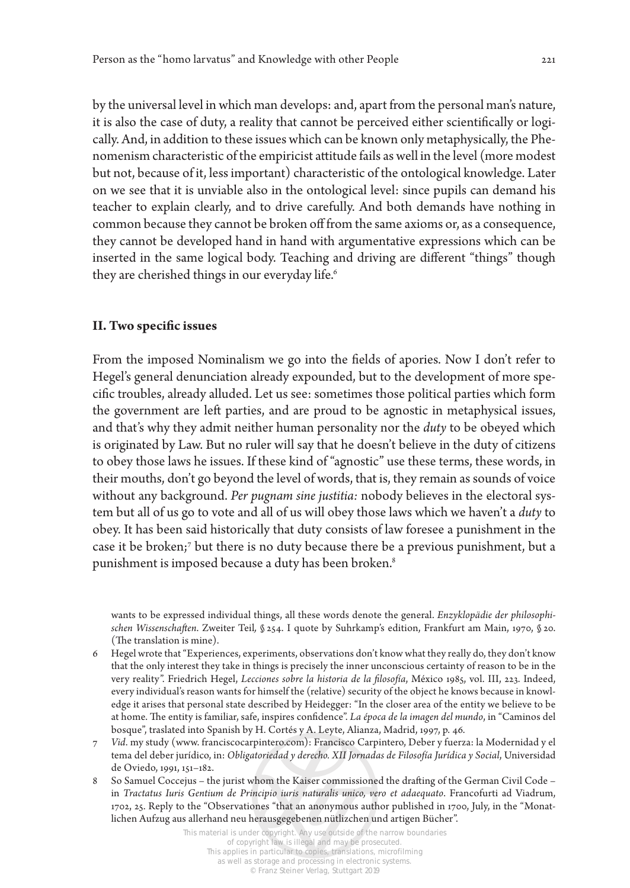by the universal level in which man develops: and, apart from the personal man's nature, it is also the case of duty, a reality that cannot be perceived either scientifically or logically. And, in addition to these issues which can be known only metaphysically, the Phenomenism characteristic of the empiricist attitude fails as well in the level (more modest but not, because of it, less important) characteristic of the ontological knowledge. Later on we see that it is unviable also in the ontological level: since pupils can demand his teacher to explain clearly, and to drive carefully. And both demands have nothing in common because they cannot be broken off from the same axioms or, as a consequence, they cannot be developed hand in hand with argumentative expressions which can be inserted in the same logical body. Teaching and driving are different "things" though they are cherished things in our everyday life.<sup>6</sup>

## **II. Two specific issues**

From the imposed Nominalism we go into the fields of apories. Now I don't refer to Hegel's general denunciation already expounded, but to the development of more specific troubles, already alluded. Let us see: sometimes those political parties which form the government are left parties, and are proud to be agnostic in metaphysical issues, and that's why they admit neither human personality nor the *duty* to be obeyed which is originated by Law. But no ruler will say that he doesn't believe in the duty of citizens to obey those laws he issues. If these kind of "agnostic" use these terms, these words, in their mouths, don't go beyond the level of words, that is, they remain as sounds of voice without any background. *Per pugnam sine justitia:* nobody believes in the electoral system but all of us go to vote and all of us will obey those laws which we haven't a *duty* to obey. It has been said historically that duty consists of law foresee a punishment in the case it be broken;7 but there is no duty because there be a previous punishment, but a punishment is imposed because a duty has been broken.<sup>8</sup>

wants to be expressed individual things, all these words denote the general. *Enzyklopädie der philosophischen Wissenschaften*. Zweiter Teil*,* § 254. I quote by Suhrkamp's edition, Frankfurt am Main, 1970, § 20. (The translation is mine).

- 6 Hegel wrote that "Experiences, experiments, observations don't know what they really do, they don't know that the only interest they take in things is precisely the inner unconscious certainty of reason to be in the very reality". Friedrich Hegel, *Lecciones sobre la historia de la filosofía*, México 1985, vol. III, 223. Indeed, every individual's reason wants for himself the (relative) security of the object he knows because in knowledge it arises that personal state described by Heidegger: "In the closer area of the entity we believe to be at home. The entity is familiar, safe, inspires confidence". *La época de la imagen del mundo*, in "Caminos del bosque", traslated into Spanish by H. Cortés y A. Leyte, Alianza, Madrid, 1997, p. 46.
- 7 *Vid*. my study (www. franciscocarpintero.com): Francisco Carpintero, Deber y fuerza: la Modernidad y el tema del deber jurídico, in: *Obligatoriedad y derecho. XII Jornadas de Filosofía Jurídica y Social*, Universidad de Oviedo, 1991, 151–182.
- 8 So Samuel Coccejus the jurist whom the Kaiser commissioned the drafting of the German Civil Code in *Tractatus Iuris Gentium de Principio iuris naturalis unico, vero et adaequato*. Francofurti ad Viadrum, 1702, 25. Reply to the "Observationes "that an anonymous author published in 1700, July, in the "Monatlichen Aufzug aus allerhand neu herausgegebenen nütlizchen und artigen Bücher".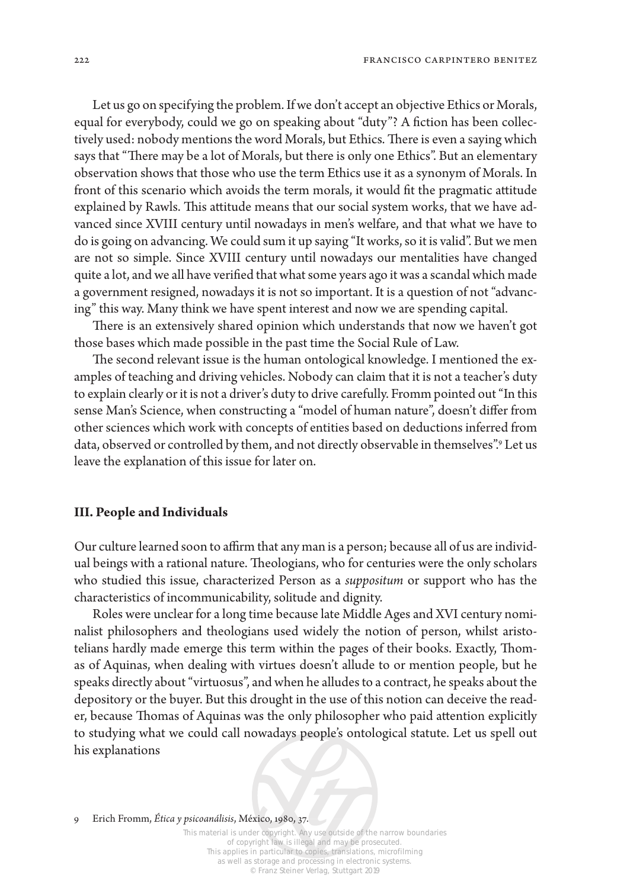Let us go on specifying the problem. If we don't accept an objective Ethics or Morals, equal for everybody, could we go on speaking about "duty"? A fiction has been collectively used: nobody mentions the word Morals, but Ethics. There is even a saying which says that "There may be a lot of Morals, but there is only one Ethics". But an elementary observation shows that those who use the term Ethics use it as a synonym of Morals. In front of this scenario which avoids the term morals, it would fit the pragmatic attitude explained by Rawls. This attitude means that our social system works, that we have advanced since XVIII century until nowadays in men's welfare, and that what we have to do is going on advancing. We could sum it up saying "It works, so it is valid". But we men are not so simple. Since XVIII century until nowadays our mentalities have changed quite a lot, and we all have verified that what some years ago it was a scandal which made a government resigned, nowadays it is not so important. It is a question of not "advancing" this way. Many think we have spent interest and now we are spending capital.

There is an extensively shared opinion which understands that now we haven't got those bases which made possible in the past time the Social Rule of Law.

The second relevant issue is the human ontological knowledge. I mentioned the examples of teaching and driving vehicles. Nobody can claim that it is not a teacher's duty to explain clearly or it is not a driver's duty to drive carefully. Fromm pointed out "In this sense Man's Science, when constructing a "model of human nature", doesn't differ from other sciences which work with concepts of entities based on deductions inferred from data, observed or controlled by them, and not directly observable in themselves".9 Let us leave the explanation of this issue for later on.

#### **III. People and Individuals**

Our culture learned soon to affirm that any man is a person; because all of us are individual beings with a rational nature. Theologians, who for centuries were the only scholars who studied this issue, characterized Person as a *suppositum* or support who has the characteristics of incommunicability, solitude and dignity.

Roles were unclear for a long time because late Middle Ages and XVI century nominalist philosophers and theologians used widely the notion of person, whilst aristotelians hardly made emerge this term within the pages of their books. Exactly, Thomas of Aquinas, when dealing with virtues doesn't allude to or mention people, but he speaks directly about "virtuosus", and when he alludes to a contract, he speaks about the depository or the buyer. But this drought in the use of this notion can deceive the reader, because Thomas of Aquinas was the only philosopher who paid attention explicitly to studying what we could call nowadays people's ontological statute. Let us spell out his explanations

9 Erich Fromm, *Ética y psicoanálisis*, México, 1980, 37.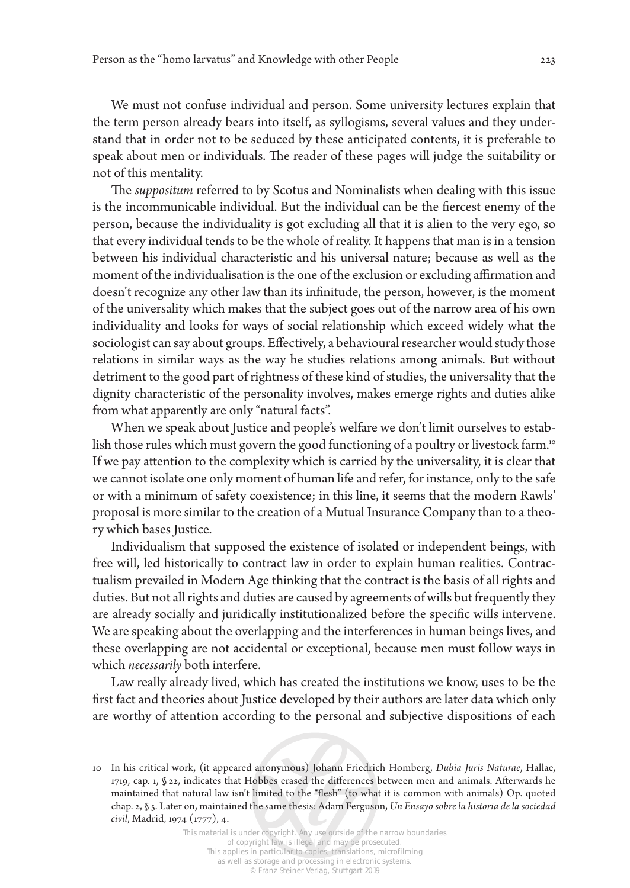We must not confuse individual and person. Some university lectures explain that the term person already bears into itself, as syllogisms, several values and they understand that in order not to be seduced by these anticipated contents, it is preferable to speak about men or individuals. The reader of these pages will judge the suitability or not of this mentality.

The *suppositum* referred to by Scotus and Nominalists when dealing with this issue is the incommunicable individual. But the individual can be the fiercest enemy of the person, because the individuality is got excluding all that it is alien to the very ego, so that every individual tends to be the whole of reality. It happens that man is in a tension between his individual characteristic and his universal nature; because as well as the moment of the individualisation is the one of the exclusion or excluding affirmation and doesn't recognize any other law than its infinitude, the person, however, is the moment of the universality which makes that the subject goes out of the narrow area of his own individuality and looks for ways of social relationship which exceed widely what the sociologist can say about groups. Effectively, a behavioural researcher would study those relations in similar ways as the way he studies relations among animals. But without detriment to the good part of rightness of these kind of studies, the universality that the dignity characteristic of the personality involves, makes emerge rights and duties alike from what apparently are only "natural facts".

When we speak about Justice and people's welfare we don't limit ourselves to establish those rules which must govern the good functioning of a poultry or livestock farm.<sup>10</sup> If we pay attention to the complexity which is carried by the universality, it is clear that we cannot isolate one only moment of human life and refer, for instance, only to the safe or with a minimum of safety coexistence; in this line, it seems that the modern Rawls' proposal is more similar to the creation of a Mutual Insurance Company than to a theory which bases Justice.

Individualism that supposed the existence of isolated or independent beings, with free will, led historically to contract law in order to explain human realities. Contractualism prevailed in Modern Age thinking that the contract is the basis of all rights and duties. But not all rights and duties are caused by agreements of wills but frequently they are already socially and juridically institutionalized before the specific wills intervene. We are speaking about the overlapping and the interferences in human beings lives, and these overlapping are not accidental or exceptional, because men must follow ways in which *necessarily* both interfere.

Law really already lived, which has created the institutions we know, uses to be the first fact and theories about Justice developed by their authors are later data which only are worthy of attention according to the personal and subjective dispositions of each

<sup>10</sup> In his critical work, (it appeared anonymous) Johann Friedrich Homberg, *Dubia Juris Naturae*, Hallae, 1719, cap. 1, § 22, indicates that Hobbes erased the differences between men and animals. Afterwards he maintained that natural law isn't limited to the "flesh" (to what it is common with animals) Op. quoted chap. 2, § 5. Later on, maintained the same thesis: Adam Ferguson, *Un Ensayo sobre la historia de la sociedad civil*, Madrid, 1974 (1777), 4.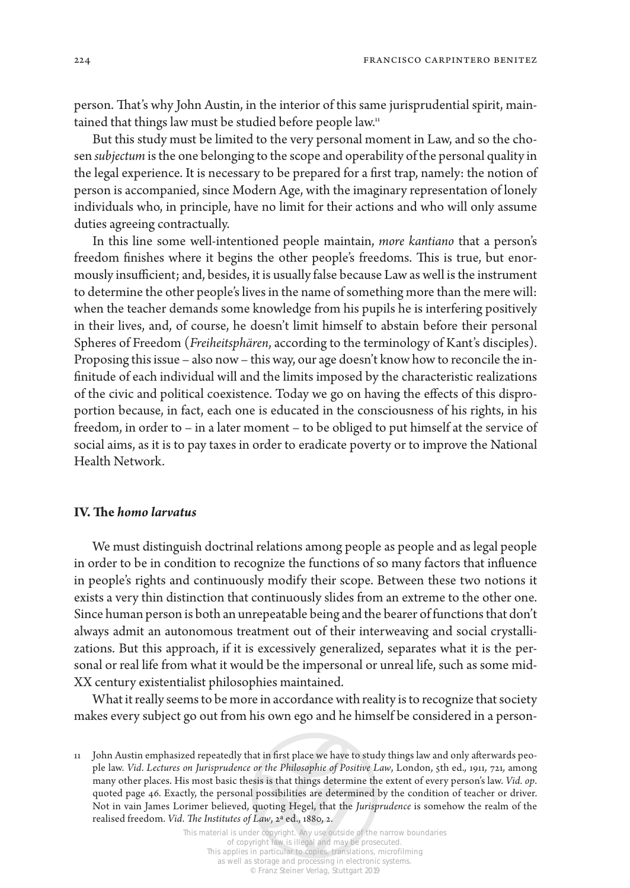224 francisco carpintero benitez

person. That's why John Austin, in the interior of this same jurisprudential spirit, maintained that things law must be studied before people law.<sup>11</sup>

But this study must be limited to the very personal moment in Law, and so the chosen *subjectum* is the one belonging to the scope and operability of the personal quality in the legal experience. It is necessary to be prepared for a first trap, namely: the notion of person is accompanied, since Modern Age, with the imaginary representation of lonely individuals who, in principle, have no limit for their actions and who will only assume duties agreeing contractually.

In this line some well-intentioned people maintain, *more kantiano* that a person's freedom finishes where it begins the other people's freedoms. This is true, but enormously insufficient; and, besides, it is usually false because Law as well is the instrument to determine the other people's lives in the name of something more than the mere will: when the teacher demands some knowledge from his pupils he is interfering positively in their lives, and, of course, he doesn't limit himself to abstain before their personal Spheres of Freedom (*Freiheitsphären*, according to the terminology of Kant's disciples). Proposing this issue – also now – this way, our age doesn't know how to reconcile the infinitude of each individual will and the limits imposed by the characteristic realizations of the civic and political coexistence. Today we go on having the effects of this disproportion because, in fact, each one is educated in the consciousness of his rights, in his freedom, in order to – in a later moment – to be obliged to put himself at the service of social aims, as it is to pay taxes in order to eradicate poverty or to improve the National Health Network.

## **IV. The** *homo larvatus*

We must distinguish doctrinal relations among people as people and as legal people in order to be in condition to recognize the functions of so many factors that influence in people's rights and continuously modify their scope. Between these two notions it exists a very thin distinction that continuously slides from an extreme to the other one. Since human person is both an unrepeatable being and the bearer of functions that don't always admit an autonomous treatment out of their interweaving and social crystallizations. But this approach, if it is excessively generalized, separates what it is the personal or real life from what it would be the impersonal or unreal life, such as some mid-XX century existentialist philosophies maintained.

What it really seems to be more in accordance with reality is to recognize that society makes every subject go out from his own ego and he himself be considered in a person-

<sup>11</sup> John Austin emphasized repeatedly that in first place we have to study things law and only afterwards people law. *Vid*. *Lectures on Jurisprudence or the Philosophie of Positive Law*, London, 5th ed.*,* 1911*,* 721*,* among many other places. His most basic thesis is that things determine the extent of every person's law. *Vid. op*. quoted page 46. Exactly, the personal possibilities are determined by the condition of teacher or driver. Not in vain James Lorimer believed, quoting Hegel, that the *Jurisprudence* is somehow the realm of the realised freedom. *Vid*. *The Institutes of Law*, 2ª ed., 1880, 2.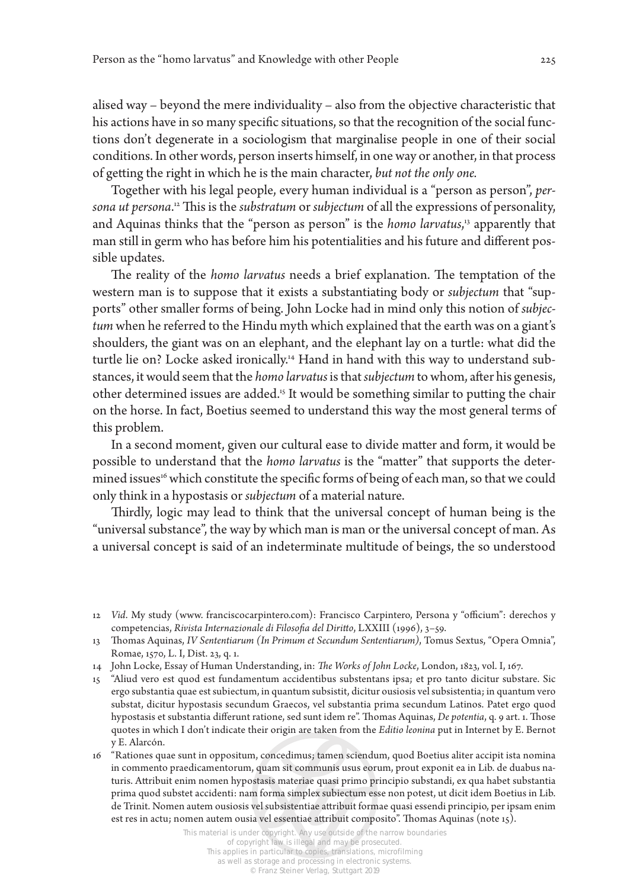alised way – beyond the mere individuality – also from the objective characteristic that his actions have in so many specific situations, so that the recognition of the social functions don't degenerate in a sociologism that marginalise people in one of their social conditions. In other words, person inserts himself, in one way or another, in that process of getting the right in which he is the main character, *but not the only one.*

Together with his legal people, every human individual is a "person as person", *persona ut persona*. 12 This is the *substratum* or *subjectum* of all the expressions of personality, and Aquinas thinks that the "person as person" is the *homo larvatus*, 13 apparently that man still in germ who has before him his potentialities and his future and different possible updates.

The reality of the *homo larvatus* needs a brief explanation. The temptation of the western man is to suppose that it exists a substantiating body or *subjectum* that "supports" other smaller forms of being. John Locke had in mind only this notion of *subjectum* when he referred to the Hindu myth which explained that the earth was on a giant's shoulders, the giant was on an elephant, and the elephant lay on a turtle: what did the turtle lie on? Locke asked ironically.<sup>14</sup> Hand in hand with this way to understand substances, it would seem that the *homo larvatus* is that *subjectum* to whom, after his genesis, other determined issues are added.15 It would be something similar to putting the chair on the horse. In fact, Boetius seemed to understand this way the most general terms of this problem.

In a second moment, given our cultural ease to divide matter and form, it would be possible to understand that the *homo larvatus* is the "matter" that supports the determined issues<sup>16</sup> which constitute the specific forms of being of each man, so that we could only think in a hypostasis or *subjectum* of a material nature.

Thirdly, logic may lead to think that the universal concept of human being is the "universal substance", the way by which man is man or the universal concept of man. As a universal concept is said of an indeterminate multitude of beings, the so understood

<sup>12</sup> *Vid*. My study (www. franciscocarpintero.com): Francisco Carpintero, Persona y "officium": derechos y competencias, *Rivista Internazionale di Filosofia del Diritto*, LXXIII (1996), 3–59.

<sup>13</sup> Thomas Aquinas, *IV Sententiarum (In Primum et Secundum Sententiarum)*, Tomus Sextus, "Opera Omnia", Romae, 1570, L. I, Dist. 23, q. 1.

<sup>14</sup> John Locke, Essay of Human Understanding, in: *The Works of John Locke*, London, 1823, vol. I, 167.

<sup>15</sup> "Aliud vero est quod est fundamentum accidentibus substentans ipsa; et pro tanto dicitur substare. Sic ergo substantia quae est subiectum, in quantum subsistit, dicitur ousiosis vel subsistentia; in quantum vero substat, dicitur hypostasis secundum Graecos, vel substantia prima secundum Latinos. Patet ergo quod hypostasis et substantia differunt ratione, sed sunt idem re". Thomas Aquinas, *De potentia*, q. 9 art. 1. Those quotes in which I don't indicate their origin are taken from the *Editio leonina* put in Internet by E. Bernot y E. Alarcón.

<sup>16</sup> "Rationes quae sunt in oppositum, concedimus; tamen sciendum, quod Boetius aliter accipit ista nomina in commento praedicamentorum, quam sit communis usus eorum, prout exponit ea in Lib. de duabus naturis. Attribuit enim nomen hypostasis materiae quasi primo principio substandi, ex qua habet substantia prima quod substet accidenti: nam forma simplex subiectum esse non potest, ut dicit idem Boetius in Lib. de Trinit. Nomen autem ousiosis vel subsistentiae attribuit formae quasi essendi principio, per ipsam enim est res in actu; nomen autem ousia vel essentiae attribuit composito". Thomas Aquinas (note 15).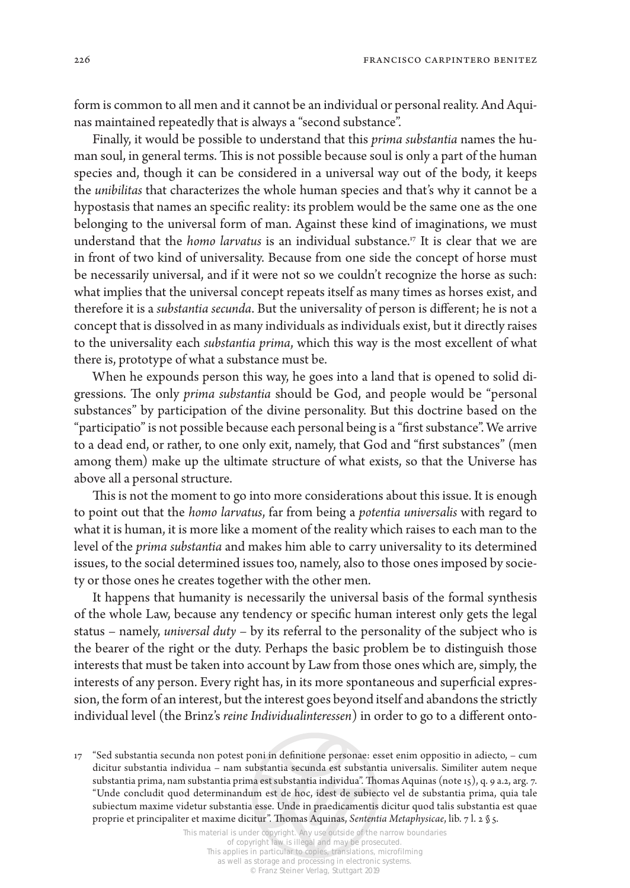226 **francisco carpintero benitez francisco carpintero benitez** 

form is common to all men and it cannot be an individual or personal reality. And Aquinas maintained repeatedly that is always a "second substance".

Finally, it would be possible to understand that this *prima substantia* names the human soul, in general terms. This is not possible because soul is only a part of the human species and, though it can be considered in a universal way out of the body, it keeps the *unibilitas* that characterizes the whole human species and that's why it cannot be a hypostasis that names an specific reality: its problem would be the same one as the one belonging to the universal form of man. Against these kind of imaginations, we must understand that the *homo larvatus* is an individual substance.17 It is clear that we are in front of two kind of universality. Because from one side the concept of horse must be necessarily universal, and if it were not so we couldn't recognize the horse as such: what implies that the universal concept repeats itself as many times as horses exist, and therefore it is a *substantia secunda*. But the universality of person is different; he is not a concept that is dissolved in as many individuals as individuals exist, but it directly raises to the universality each *substantia prima*, which this way is the most excellent of what there is, prototype of what a substance must be.

When he expounds person this way, he goes into a land that is opened to solid digressions. The only *prima substantia* should be God, and people would be "personal substances" by participation of the divine personality. But this doctrine based on the "participatio" is not possible because each personal being is a "first substance". We arrive to a dead end, or rather, to one only exit, namely, that God and "first substances" (men among them) make up the ultimate structure of what exists, so that the Universe has above all a personal structure.

This is not the moment to go into more considerations about this issue. It is enough to point out that the *homo larvatus*, far from being a *potentia universalis* with regard to what it is human, it is more like a moment of the reality which raises to each man to the level of the *prima substantia* and makes him able to carry universality to its determined issues, to the social determined issues too, namely, also to those ones imposed by society or those ones he creates together with the other men.

It happens that humanity is necessarily the universal basis of the formal synthesis of the whole Law, because any tendency or specific human interest only gets the legal status – namely, *universal duty* – by its referral to the personality of the subject who is the bearer of the right or the duty. Perhaps the basic problem be to distinguish those interests that must be taken into account by Law from those ones which are, simply, the interests of any person. Every right has, in its more spontaneous and superficial expression, the form of an interest, but the interest goes beyond itself and abandons the strictly individual level (the Brinz's *reine Individualinteressen*) in order to go to a different onto-

<sup>17</sup> "Sed substantia secunda non potest poni in definitione personae: esset enim oppositio in adiecto, – cum dicitur substantia individua – nam substantia secunda est substantia universalis. Similiter autem neque substantia prima, nam substantia prima est substantia individua". Thomas Aquinas (note 15), q. 9 a.2, arg. 7. "Unde concludit quod determinandum est de hoc, idest de subiecto vel de substantia prima, quia tale subiectum maxime videtur substantia esse. Unde in praedicamentis dicitur quod talis substantia est quae proprie et principaliter et maxime dicitur". Thomas Aquinas, *Sententia Metaphysicae*, lib. 7 l. 2 § 5.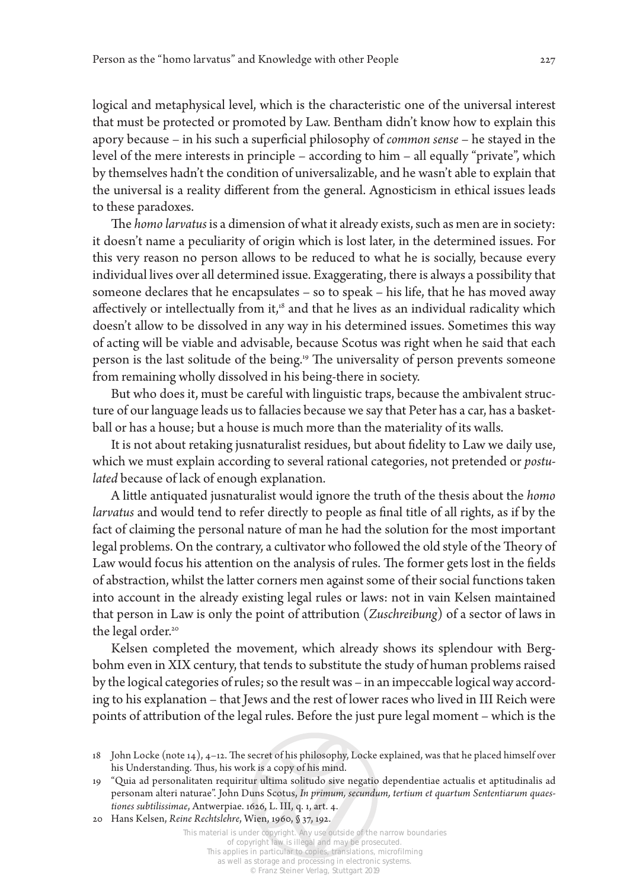logical and metaphysical level, which is the characteristic one of the universal interest that must be protected or promoted by Law. Bentham didn't know how to explain this apory because – in his such a superficial philosophy of *common sense* – he stayed in the level of the mere interests in principle – according to him – all equally "private", which by themselves hadn't the condition of universalizable, and he wasn't able to explain that the universal is a reality different from the general. Agnosticism in ethical issues leads to these paradoxes.

The *homo larvatus* is a dimension of what it already exists, such as men are in society: it doesn't name a peculiarity of origin which is lost later, in the determined issues. For this very reason no person allows to be reduced to what he is socially, because every individual lives over all determined issue. Exaggerating, there is always a possibility that someone declares that he encapsulates  $-$  so to speak  $-$  his life, that he has moved away affectively or intellectually from it,<sup>18</sup> and that he lives as an individual radicality which doesn't allow to be dissolved in any way in his determined issues. Sometimes this way of acting will be viable and advisable, because Scotus was right when he said that each person is the last solitude of the being.<sup>19</sup> The universality of person prevents someone from remaining wholly dissolved in his being-there in society.

But who does it, must be careful with linguistic traps, because the ambivalent structure of our language leads us to fallacies because we say that Peter has a car, has a basketball or has a house; but a house is much more than the materiality of its walls.

It is not about retaking jusnaturalist residues, but about fidelity to Law we daily use, which we must explain according to several rational categories, not pretended or *postulated* because of lack of enough explanation.

A little antiquated jusnaturalist would ignore the truth of the thesis about the *homo larvatus* and would tend to refer directly to people as final title of all rights, as if by the fact of claiming the personal nature of man he had the solution for the most important legal problems. On the contrary, a cultivator who followed the old style of the Theory of Law would focus his attention on the analysis of rules. The former gets lost in the fields of abstraction, whilst the latter corners men against some of their social functions taken into account in the already existing legal rules or laws: not in vain Kelsen maintained that person in Law is only the point of attribution (*Zuschreibung*) of a sector of laws in the legal order.<sup>20</sup>

Kelsen completed the movement, which already shows its splendour with Bergbohm even in XIX century, that tends to substitute the study of human problems raised by the logical categories of rules; so the result was – in an impeccable logical way according to his explanation – that Jews and the rest of lower races who lived in III Reich were points of attribution of the legal rules. Before the just pure legal moment – which is the

<sup>18</sup> John Locke (note 14), 4–12. The secret of his philosophy, Locke explained, was that he placed himself over his Understanding. Thus, his work is a copy of his mind.

<sup>19</sup> "Quia ad personalitaten requiritur ultima solitudo sive negatio dependentiae actualis et aptitudinalis ad personam alteri naturae". John Duns Scotus, *In primum, secundum, tertium et quartum Sententiarum quaestiones subtilissimae*, Antwerpiae. 1626, L. III, q. 1, art. 4.

<sup>20</sup> Hans Kelsen, *Reine Rechtslehre*, Wien, 1960, § 37, 192.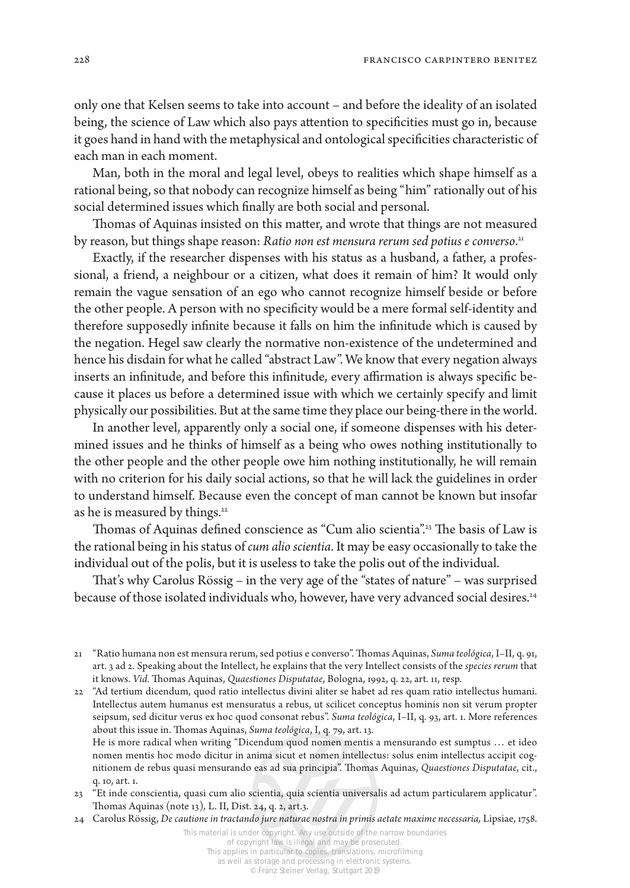only one that Kelsen seems to take into account – and before the ideality of an isolated being, the science of Law which also pays attention to specificities must go in, because it goes hand in hand with the metaphysical and ontological specificities characteristic of each man in each moment.

Man, both in the moral and legal level, obeys to realities which shape himself as a rational being, so that nobody can recognize himself as being "him" rationally out of his social determined issues which finally are both social and personal.

Thomas of Aquinas insisted on this matter, and wrote that things are not measured by reason, but things shape reason: *Ratio non est mensura rerum sed potius e converso*. 21

Exactly, if the researcher dispenses with his status as a husband, a father, a professional, a friend, a neighbour or a citizen, what does it remain of him? It would only remain the vague sensation of an ego who cannot recognize himself beside or before the other people. A person with no specificity would be a mere formal self-identity and therefore supposedly infinite because it falls on him the infinitude which is caused by the negation. Hegel saw clearly the normative non-existence of the undetermined and hence his disdain for what he called "abstract Law". We know that every negation always inserts an infinitude, and before this infinitude, every affirmation is always specific because it places us before a determined issue with which we certainly specify and limit physically our possibilities. But at the same time they place our being-there in the world.

In another level, apparently only a social one, if someone dispenses with his determined issues and he thinks of himself as a being who owes nothing institutionally to the other people and the other people owe him nothing institutionally, he will remain with no criterion for his daily social actions, so that he will lack the guidelines in order to understand himself. Because even the concept of man cannot be known but insofar as he is measured by things.<sup>22</sup>

Thomas of Aquinas defined conscience as "Cum alio scientia".<sup>23</sup> The basis of Law is the rational being in his status of *cum alio scientia*. It may be easy occasionally to take the individual out of the polis, but it is useless to take the polis out of the individual.

That's why Carolus Rössig – in the very age of the "states of nature" – was surprised because of those isolated individuals who, however, have very advanced social desires.<sup>24</sup>

nomen mentis hoc modo dicitur in anima sicut et nomen intellectus: solus enim intellectus accipit cognitionem de rebus quasi mensurando eas ad sua principia". Thomas Aquinas, *Quaestiones Disputatae*, cit., q. 10, art. 1.

23 "Et inde conscientia, quasi cum alio scientia, quia scientia universalis ad actum particularem applicatur". Thomas Aquinas (note 13)*,* L. II, Dist. 24, q. 2, art.3.

24 Carolus Rössig, *De cautione in tractando jure naturae nostra in primis aetate maxime necessaria*, Lipsiae, 1758.

<sup>21</sup> "Ratio humana non est mensura rerum, sed potius e converso". Thomas Aquinas, *Suma teológica*, I–II, q. 91, art. 3 ad 2. Speaking about the Intellect, he explains that the very Intellect consists of the *species rerum* that it knows. *Vid.* Thomas Aquinas, *Quaestiones Disputatae*, Bologna, 1992, q. 22, art. 11, resp.

<sup>22</sup> "Ad tertium dicendum, quod ratio intellectus divini aliter se habet ad res quam ratio intellectus humani. Intellectus autem humanus est mensuratus a rebus, ut scilicet conceptus hominis non sit verum propter seipsum, sed dicitur verus ex hoc quod consonat rebus". *Suma teológica*, I–II, q. 93, art. 1. More references about this issue in. Thomas Aquinas, *Suma teológica*, I, q. 79, art. 13. He is more radical when writing "Dicendum quod nomen mentis a mensurando est sumptus … et ideo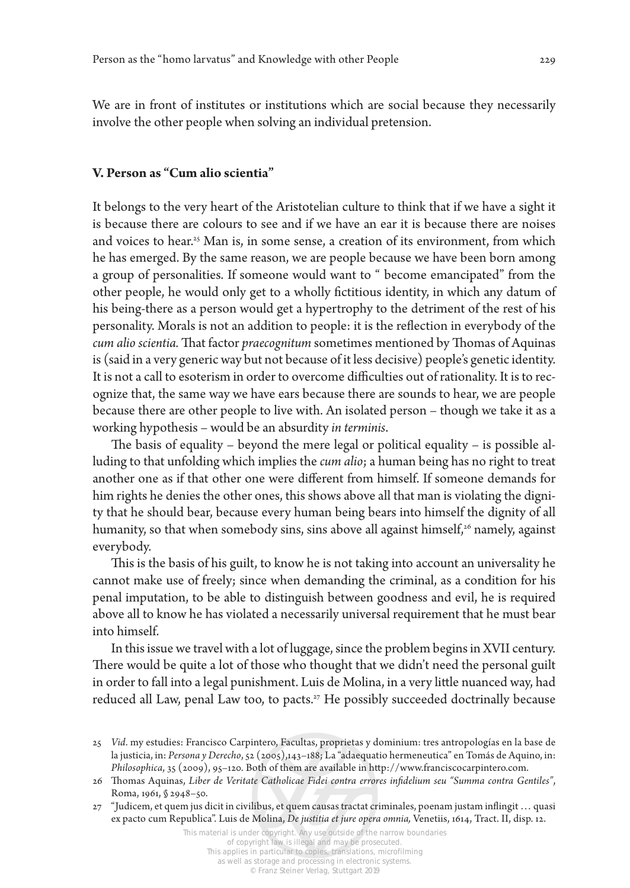We are in front of institutes or institutions which are social because they necessarily involve the other people when solving an individual pretension.

### **V. Person as "Cum alio scientia"**

It belongs to the very heart of the Aristotelian culture to think that if we have a sight it is because there are colours to see and if we have an ear it is because there are noises and voices to hear.<sup>25</sup> Man is, in some sense, a creation of its environment, from which he has emerged. By the same reason, we are people because we have been born among a group of personalities. If someone would want to " become emancipated" from the other people, he would only get to a wholly fictitious identity, in which any datum of his being-there as a person would get a hypertrophy to the detriment of the rest of his personality. Morals is not an addition to people: it is the reflection in everybody of the *cum alio scientia.* That factor *praecognitum* sometimes mentioned by Thomas of Aquinas is (said in a very generic way but not because of it less decisive) people's genetic identity. It is not a call to esoterism in order to overcome difficulties out of rationality. It is to recognize that, the same way we have ears because there are sounds to hear, we are people because there are other people to live with. An isolated person – though we take it as a working hypothesis – would be an absurdity *in terminis*.

The basis of equality – beyond the mere legal or political equality – is possible alluding to that unfolding which implies the *cum alio*; a human being has no right to treat another one as if that other one were different from himself. If someone demands for him rights he denies the other ones, this shows above all that man is violating the dignity that he should bear, because every human being bears into himself the dignity of all humanity, so that when somebody sins, sins above all against himself,<sup>26</sup> namely, against everybody.

This is the basis of his guilt, to know he is not taking into account an universality he cannot make use of freely; since when demanding the criminal, as a condition for his penal imputation, to be able to distinguish between goodness and evil, he is required above all to know he has violated a necessarily universal requirement that he must bear into himself.

In this issue we travel with a lot of luggage, since the problem begins in XVII century. There would be quite a lot of those who thought that we didn't need the personal guilt in order to fall into a legal punishment. Luis de Molina, in a very little nuanced way, had reduced all Law, penal Law too, to pacts.27 He possibly succeeded doctrinally because

<sup>25</sup> *Vid*. my estudies: Francisco Carpintero, Facultas, proprietas y dominium: tres antropologías en la base de la justicia, in: *Persona y Derecho*, 52 (2005),143–188; La "adaequatio hermeneutica" en Tomás de Aquino, in: *Philosophica*, 35 (2009), 95–120. Both of them are available in http://www.franciscocarpintero.com.

<sup>26</sup> Thomas Aquinas, *Liber de Veritate Catholicae Fidei contra errores infidelium seu "Summa contra Gentiles"*, Roma, 1961, § 2948–50.

<sup>27</sup> "Judicem, et quem jus dicit in civilibus, et quem causas tractat criminales, poenam justam inflingit … quasi ex pacto cum Republica". Luis de Molina, *De justitia et jure opera omnia,* Venetiis, 1614, Tract. II, disp. 12.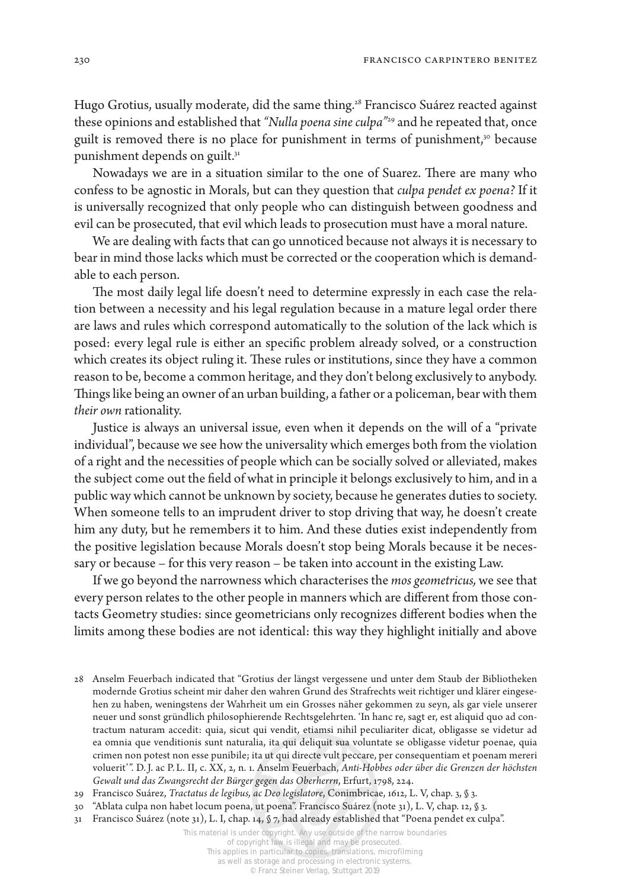Hugo Grotius, usually moderate, did the same thing.<sup>28</sup> Francisco Suárez reacted against these opinions and established that "Nulla poena sine culpa"<sup>29</sup> and he repeated that, once guilt is removed there is no place for punishment in terms of punishment,<sup>30</sup> because punishment depends on guilt.<sup>31</sup>

Nowadays we are in a situation similar to the one of Suarez. There are many who confess to be agnostic in Morals, but can they question that *culpa pendet ex poena?* If it is universally recognized that only people who can distinguish between goodness and evil can be prosecuted, that evil which leads to prosecution must have a moral nature.

We are dealing with facts that can go unnoticed because not always it is necessary to bear in mind those lacks which must be corrected or the cooperation which is demandable to each person.

The most daily legal life doesn't need to determine expressly in each case the relation between a necessity and his legal regulation because in a mature legal order there are laws and rules which correspond automatically to the solution of the lack which is posed: every legal rule is either an specific problem already solved, or a construction which creates its object ruling it. These rules or institutions, since they have a common reason to be, become a common heritage, and they don't belong exclusively to anybody. Things like being an owner of an urban building, a father or a policeman, bear with them *their own* rationality.

Justice is always an universal issue, even when it depends on the will of a "private individual", because we see how the universality which emerges both from the violation of a right and the necessities of people which can be socially solved or alleviated, makes the subject come out the field of what in principle it belongs exclusively to him, and in a public way which cannot be unknown by society, because he generates duties to society. When someone tells to an imprudent driver to stop driving that way, he doesn't create him any duty, but he remembers it to him. And these duties exist independently from the positive legislation because Morals doesn't stop being Morals because it be necessary or because – for this very reason – be taken into account in the existing Law.

If we go beyond the narrowness which characterises the *mos geometricus,* we see that every person relates to the other people in manners which are different from those contacts Geometry studies: since geometricians only recognizes different bodies when the limits among these bodies are not identical: this way they highlight initially and above

This material is under copyright. Any use outside of the narrow boundaries of copyright law is illegal and may be prosecuted.

<sup>28</sup> Anselm Feuerbach indicated that "Grotius der längst vergessene und unter dem Staub der Bibliotheken modernde Grotius scheint mir daher den wahren Grund des Strafrechts weit richtiger und klärer eingesehen zu haben, weningstens der Wahrheit um ein Grosses näher gekommen zu seyn, als gar viele unserer neuer und sonst gründlich philosophierende Rechtsgelehrten. 'In hanc re, sagt er, est aliquid quo ad contractum naturam accedit: quia, sicut qui vendit, etiamsi nihil peculiariter dicat, obligasse se videtur ad ea omnia que venditionis sunt naturalia, ita qui deliquit sua voluntate se obligasse videtur poenae, quia crimen non potest non esse punibile; ita ut qui directe vult peccare, per consequentiam et poenam mereri voluerit'". D.J. ac P. L. II, c. XX, 2, n. 1. Anselm Feuerbach, *Anti-Hobbes oder über die Grenzen der höchsten Gewalt und das Zwangsrecht der Bürger gegen das Oberherrn*, Erfurt, 1798, 224.

<sup>29</sup> Francisco Suárez, *Tractatus de legibus, ac Deo legislatore*, Conimbricae, 1612, L. V, chap. 3, § 3.

<sup>30</sup> "Ablata culpa non habet locum poena, ut poena". Francisco Suárez (note 31), L. V, chap. 12, § 3.

<sup>31</sup> Francisco Suárez (note 31), L. I, chap. 14, § 7, had already established that "Poena pendet ex culpa".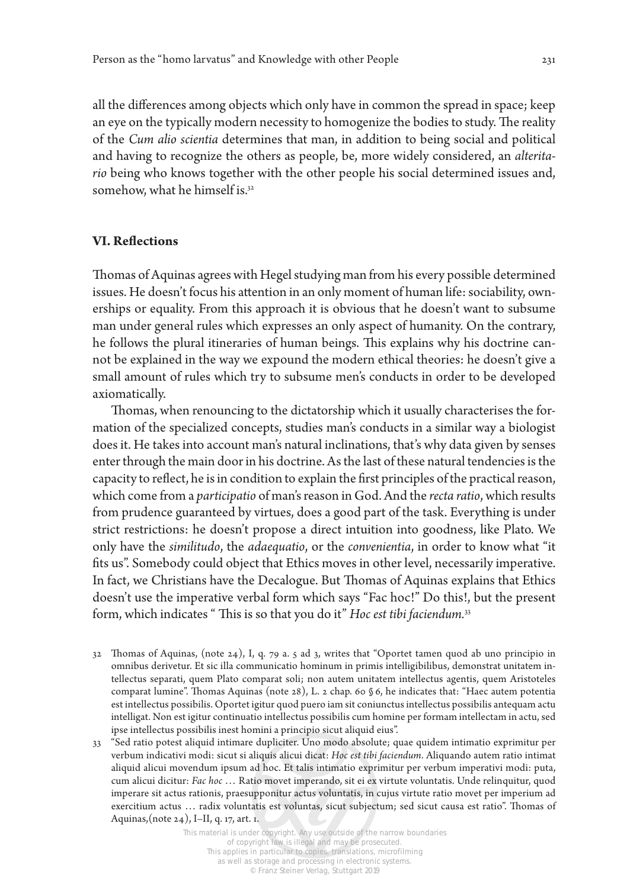all the differences among objects which only have in common the spread in space; keep an eye on the typically modern necessity to homogenize the bodies to study. The reality of the *Cum alio scientia* determines that man, in addition to being social and political and having to recognize the others as people, be, more widely considered, an *alteritario* being who knows together with the other people his social determined issues and, somehow, what he himself is.<sup>32</sup>

## **VI. Reflections**

Thomas of Aquinas agrees with Hegel studying man from his every possible determined issues. He doesn't focus his attention in an only moment of human life: sociability, ownerships or equality. From this approach it is obvious that he doesn't want to subsume man under general rules which expresses an only aspect of humanity. On the contrary, he follows the plural itineraries of human beings. This explains why his doctrine cannot be explained in the way we expound the modern ethical theories: he doesn't give a small amount of rules which try to subsume men's conducts in order to be developed axiomatically.

Thomas, when renouncing to the dictatorship which it usually characterises the formation of the specialized concepts, studies man's conducts in a similar way a biologist does it. He takes into account man's natural inclinations, that's why data given by senses enter through the main door in his doctrine. As the last of these natural tendencies is the capacity to reflect, he is in condition to explain the first principles of the practical reason, which come from a *participatio* of man's reason in God. And the *recta ratio*, which results from prudence guaranteed by virtues, does a good part of the task. Everything is under strict restrictions: he doesn't propose a direct intuition into goodness, like Plato. We only have the *similitudo*, the *adaequatio*, or the *convenientia*, in order to know what "it fits us". Somebody could object that Ethics moves in other level, necessarily imperative. In fact, we Christians have the Decalogue. But Thomas of Aquinas explains that Ethics doesn't use the imperative verbal form which says "Fac hoc!" Do this!, but the present form, which indicates " This is so that you do it" *Hoc est tibi faciendum.*<sup>33</sup>

- 32 Thomas of Aquinas, (note 24), I, q. 79 a. 5 ad 3, writes that "Oportet tamen quod ab uno principio in omnibus derivetur. Et sic illa communicatio hominum in primis intelligibilibus, demonstrat unitatem intellectus separati, quem Plato comparat soli; non autem unitatem intellectus agentis, quem Aristoteles comparat lumine". Thomas Aquinas (note 28), L. 2 chap. 60 § 6, he indicates that: "Haec autem potentia est intellectus possibilis. Oportet igitur quod puero iam sit coniunctus intellectus possibilis antequam actu intelligat. Non est igitur continuatio intellectus possibilis cum homine per formam intellectam in actu, sed ipse intellectus possibilis inest homini a principio sicut aliquid eius".
- 33 "Sed ratio potest aliquid intimare dupliciter. Uno modo absolute; quae quidem intimatio exprimitur per verbum indicativi modi: sicut si aliquis alicui dicat: *Hoc est tibi faciendum*. Aliquando autem ratio intimat aliquid alicui movendum ipsum ad hoc. Et talis intimatio exprimitur per verbum imperativi modi: puta, cum alicui dicitur: *Fac hoc* … Ratio movet imperando, sit ei ex virtute voluntatis. Unde relinquitur, quod imperare sit actus rationis, praesupponitur actus voluntatis, in cujus virtute ratio movet per imperium ad exercitium actus … radix voluntatis est voluntas, sicut subjectum; sed sicut causa est ratio". Thomas of Aquinas,(note 24), I–II, q. 17, art. 1.